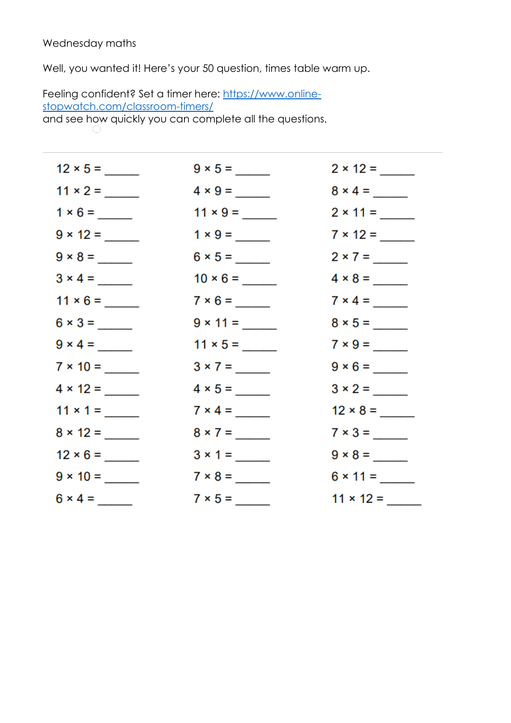Wednesday maths

Well, you wanted it! Here's your 50 question, times table warm up.

Feeling confident? Set a timer here: https://www.onlinestopwatch.com/classroom-timers/ and see how quickly you can complete all the questions.

| $12 \times 5 =$ | $9 \times 5 =$  | $2 \times 12 =$ |
|-----------------|-----------------|-----------------|
| $11 \times 2 =$ | $4 \times 9 =$  | $8 \times 4 =$  |
|                 | $11 \times 9 =$ |                 |
| $9 \times 12 =$ |                 | $7 \times 12 =$ |
|                 |                 |                 |
|                 |                 | $4 \times 8 =$  |
| $11 \times 6 =$ | $7 \times 6 =$  | $7 \times 4 =$  |
|                 |                 | $8 \times 5 =$  |
| $9 \times 4 =$  | $11 \times 5 =$ | $7 \times 9 =$  |
| $7 \times 10 =$ | $3 \times 7 =$  | $9 \times 6 =$  |
| $4 \times 12 =$ | $4 \times 5 =$  | $3 \times 2 =$  |
| $11 \times 1 =$ | $7 \times 4 =$  | $12 \times 8 =$ |
|                 | $8 \times 7 =$  | $7 \times 3 =$  |
| $12 \times 6 =$ |                 | $9 \times 8 =$  |
| $9 \times 10 =$ | $7 \times 8 =$  |                 |
|                 | $7 \times 5 =$  |                 |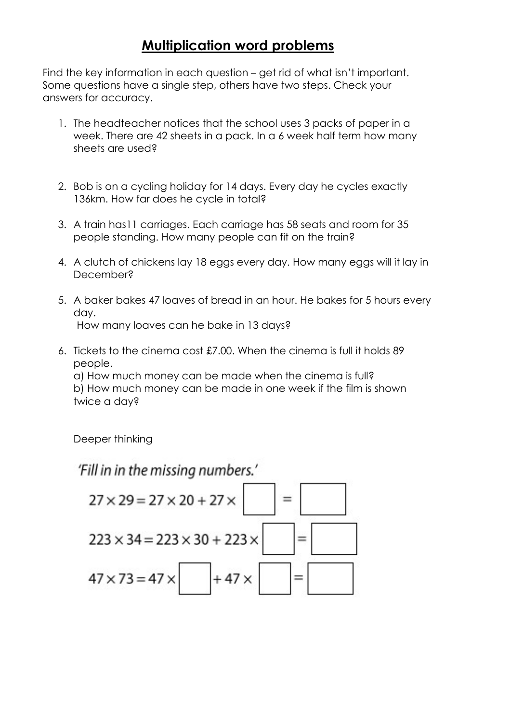## Multiplication word problems

Find the key information in each question – get rid of what isn't important. Some questions have a single step, others have two steps. Check your answers for accuracy.

- 1. The headteacher notices that the school uses 3 packs of paper in a week. There are 42 sheets in a pack. In a 6 week half term how many sheets are used?
- 2. Bob is on a cycling holiday for 14 days. Every day he cycles exactly 136km. How far does he cycle in total?
- 3. A train has11 carriages. Each carriage has 58 seats and room for 35 people standing. How many people can fit on the train?
- 4. A clutch of chickens lay 18 eggs every day. How many eggs will it lay in December?
- 5. A baker bakes 47 loaves of bread in an hour. He bakes for 5 hours every day. How many loaves can he bake in 13 days?
- 6. Tickets to the cinema cost £7.00. When the cinema is full it holds 89 people.

a) How much money can be made when the cinema is full? b) How much money can be made in one week if the film is shown twice a day?

Deeper thinking

'Fill in in the missing numbers.'